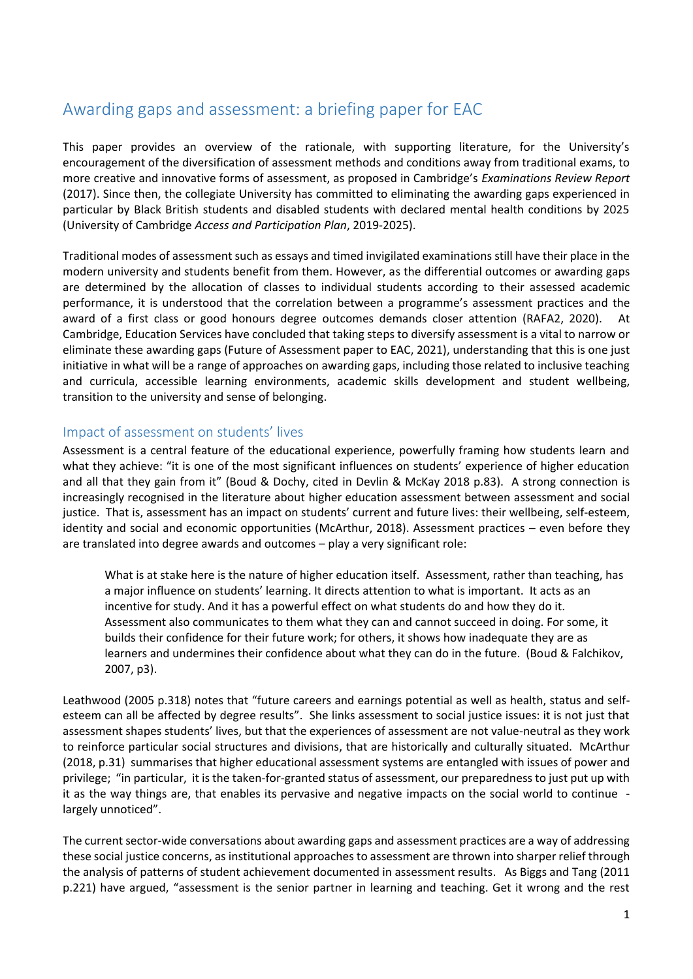# Awarding gaps and assessment: a briefing paper for EAC

This paper provides an overview of the rationale, with supporting literature, for the University's encouragement of the diversification of assessment methods and conditions away from traditional exams, to more creative and innovative forms of assessment, as proposed in Cambridge's *Examinations Review Report* (2017). Since then, the collegiate University has committed to eliminating the awarding gaps experienced in particular by Black British students and disabled students with declared mental health conditions by 2025 (University of Cambridge *Access and Participation Plan*, 2019-2025).

Traditional modes of assessment such as essays and timed invigilated examinations still have their place in the modern university and students benefit from them. However, as the differential outcomes or awarding gaps are determined by the allocation of classes to individual students according to their assessed academic performance, it is understood that the correlation between a programme's assessment practices and the award of a first class or good honours degree outcomes demands closer attention (RAFA2, 2020). At Cambridge, Education Services have concluded that taking steps to diversify assessment is a vital to narrow or eliminate these awarding gaps (Future of Assessment paper to EAC, 2021), understanding that this is one just initiative in what will be a range of approaches on awarding gaps, including those related to inclusive teaching and curricula, accessible learning environments, academic skills development and student wellbeing, transition to the university and sense of belonging.

## Impact of assessment on students' lives

Assessment is a central feature of the educational experience, powerfully framing how students learn and what they achieve: "it is one of the most significant influences on students' experience of higher education and all that they gain from it" (Boud & Dochy, cited in Devlin & McKay 2018 p.83). A strong connection is increasingly recognised in the literature about higher education assessment between assessment and social justice. That is, assessment has an impact on students' current and future lives: their wellbeing, self-esteem, identity and social and economic opportunities (McArthur, 2018). Assessment practices – even before they are translated into degree awards and outcomes – play a very significant role:

What is at stake here is the nature of higher education itself. Assessment, rather than teaching, has a major influence on students' learning. It directs attention to what is important. It acts as an incentive for study. And it has a powerful effect on what students do and how they do it. Assessment also communicates to them what they can and cannot succeed in doing. For some, it builds their confidence for their future work; for others, it shows how inadequate they are as learners and undermines their confidence about what they can do in the future. (Boud & Falchikov, 2007, p3).

Leathwood (2005 p.318) notes that "future careers and earnings potential as well as health, status and selfesteem can all be affected by degree results". She links assessment to social justice issues: it is not just that assessment shapes students' lives, but that the experiences of assessment are not value-neutral as they work to reinforce particular social structures and divisions, that are historically and culturally situated. McArthur (2018, p.31) summarises that higher educational assessment systems are entangled with issues of power and privilege; "in particular, it is the taken-for-granted status of assessment, our preparedness to just put up with it as the way things are, that enables its pervasive and negative impacts on the social world to continue largely unnoticed".

The current sector-wide conversations about awarding gaps and assessment practices are a way of addressing these social justice concerns, as institutional approaches to assessment are thrown into sharper relief through the analysis of patterns of student achievement documented in assessment results. As Biggs and Tang (2011 p.221) have argued, "assessment is the senior partner in learning and teaching. Get it wrong and the rest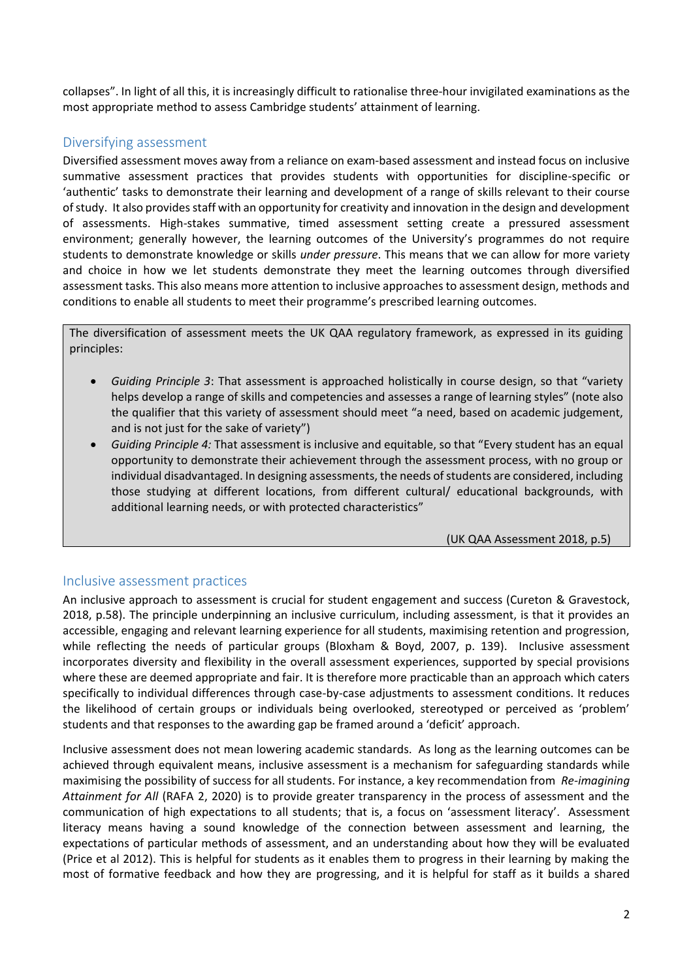collapses". In light of all this, it is increasingly difficult to rationalise three-hour invigilated examinations as the most appropriate method to assess Cambridge students' attainment of learning.

## Diversifying assessment

Diversified assessment moves away from a reliance on exam-based assessment and instead focus on inclusive summative assessment practices that provides students with opportunities for discipline-specific or 'authentic' tasks to demonstrate their learning and development of a range of skills relevant to their course of study. It also provides staff with an opportunity for creativity and innovation in the design and development of assessments. High-stakes summative, timed assessment setting create a pressured assessment environment; generally however, the learning outcomes of the University's programmes do not require students to demonstrate knowledge or skills *under pressure*. This means that we can allow for more variety and choice in how we let students demonstrate they meet the learning outcomes through diversified assessment tasks. This also means more attention to inclusive approaches to assessment design, methods and conditions to enable all students to meet their programme's prescribed learning outcomes.

The diversification of assessment meets the UK QAA regulatory framework, as expressed in its guiding principles:

- *Guiding Principle 3*: That assessment is approached holistically in course design, so that "variety helps develop a range of skills and competencies and assesses a range of learning styles" (note also the qualifier that this variety of assessment should meet "a need, based on academic judgement, and is not just for the sake of variety")
- *Guiding Principle 4:* That assessment is inclusive and equitable, so that "Every student has an equal opportunity to demonstrate their achievement through the assessment process, with no group or individual disadvantaged. In designing assessments, the needs of students are considered, including those studying at different locations, from different cultural/ educational backgrounds, with additional learning needs, or with protected characteristics"

(UK QAA Assessment 2018, p.5)

### Inclusive assessment practices

An inclusive approach to assessment is crucial for student engagement and success (Cureton & Gravestock, 2018, p.58). The principle underpinning an inclusive curriculum, including assessment, is that it provides an accessible, engaging and relevant learning experience for all students, maximising retention and progression, while reflecting the needs of particular groups (Bloxham & Boyd, 2007, p. 139). Inclusive assessment incorporates diversity and flexibility in the overall assessment experiences, supported by special provisions where these are deemed appropriate and fair. It is therefore more practicable than an approach which caters specifically to individual differences through case-by-case adjustments to assessment conditions. It reduces the likelihood of certain groups or individuals being overlooked, stereotyped or perceived as 'problem' students and that responses to the awarding gap be framed around a 'deficit' approach.

Inclusive assessment does not mean lowering academic standards. As long as the learning outcomes can be achieved through equivalent means, inclusive assessment is a mechanism for safeguarding standards while maximising the possibility of success for all students. For instance, a key recommendation from *Re-imagining Attainment for All* (RAFA 2, 2020) is to provide greater transparency in the process of assessment and the communication of high expectations to all students; that is, a focus on 'assessment literacy'. Assessment literacy means having a sound knowledge of the connection between assessment and learning, the expectations of particular methods of assessment, and an understanding about how they will be evaluated (Price et al 2012). This is helpful for students as it enables them to progress in their learning by making the most of formative feedback and how they are progressing, and it is helpful for staff as it builds a shared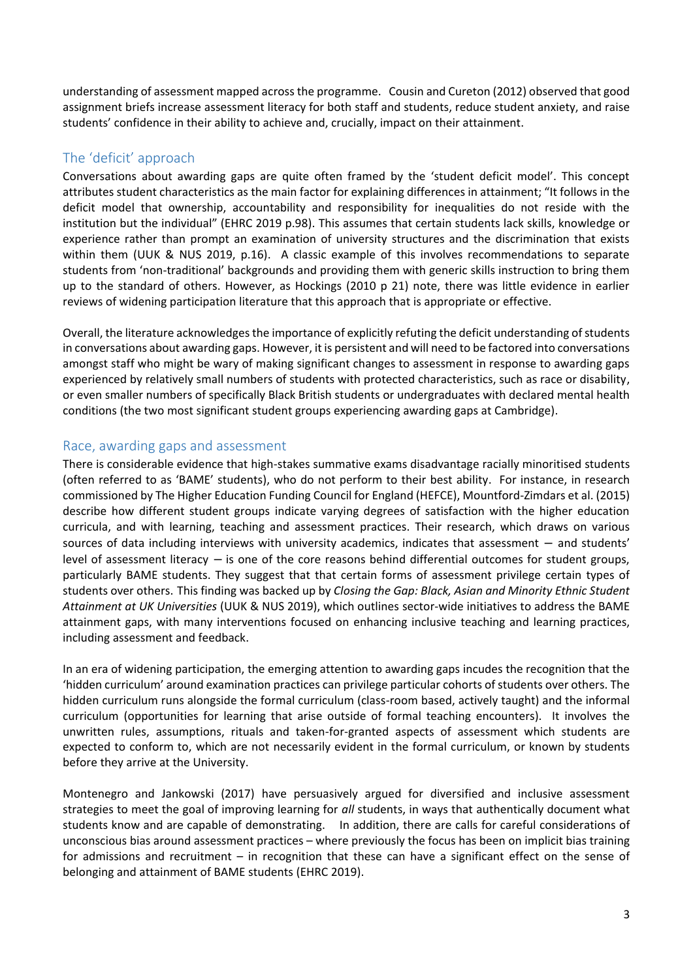understanding of assessment mapped across the programme. Cousin and Cureton (2012) observed that good assignment briefs increase assessment literacy for both staff and students, reduce student anxiety, and raise students' confidence in their ability to achieve and, crucially, impact on their attainment.

## The 'deficit' approach

Conversations about awarding gaps are quite often framed by the 'student deficit model'. This concept attributes student characteristics as the main factor for explaining differences in attainment; "It follows in the deficit model that ownership, accountability and responsibility for inequalities do not reside with the institution but the individual" (EHRC 2019 p.98). This assumes that certain students lack skills, knowledge or experience rather than prompt an examination of university structures and the discrimination that exists within them (UUK & NUS 2019, p.16). A classic example of this involves recommendations to separate students from 'non-traditional' backgrounds and providing them with generic skills instruction to bring them up to the standard of others. However, as Hockings (2010 p 21) note, there was little evidence in earlier reviews of widening participation literature that this approach that is appropriate or effective.

Overall, the literature acknowledges the importance of explicitly refuting the deficit understanding of students in conversations about awarding gaps. However, it is persistent and will need to be factored into conversations amongst staff who might be wary of making significant changes to assessment in response to awarding gaps experienced by relatively small numbers of students with protected characteristics, such as race or disability, or even smaller numbers of specifically Black British students or undergraduates with declared mental health conditions (the two most significant student groups experiencing awarding gaps at Cambridge).

## Race, awarding gaps and assessment

There is considerable evidence that high-stakes summative exams disadvantage racially minoritised students (often referred to as 'BAME' students), who do not perform to their best ability. For instance, in research commissioned by The Higher Education Funding Council for England (HEFCE), Mountford-Zimdars et al. (2015) describe how different student groups indicate varying degrees of satisfaction with the higher education curricula, and with learning, teaching and assessment practices. Their research, which draws on various sources of data including interviews with university academics, indicates that assessment – and students' level of assessment literacy  $-$  is one of the core reasons behind differential outcomes for student groups, particularly BAME students. They suggest that that certain forms of assessment privilege certain types of students over others. This finding was backed up by *Closing the Gap: Black, Asian and Minority Ethnic Student Attainment at UK Universities* (UUK & NUS 2019), which outlines sector-wide initiatives to address the BAME attainment gaps, with many interventions focused on enhancing inclusive teaching and learning practices, including assessment and feedback.

In an era of widening participation, the emerging attention to awarding gaps incudes the recognition that the 'hidden curriculum' around examination practices can privilege particular cohorts of students over others. The hidden curriculum runs alongside the formal curriculum (class-room based, actively taught) and the informal curriculum (opportunities for learning that arise outside of formal teaching encounters). It involves the unwritten rules, assumptions, rituals and taken-for-granted aspects of assessment which students are expected to conform to, which are not necessarily evident in the formal curriculum, or known by students before they arrive at the University.

Montenegro and Jankowski (2017) have persuasively argued for diversified and inclusive assessment strategies to meet the goal of improving learning for *all* students, in ways that authentically document what students know and are capable of demonstrating. In addition, there are calls for careful considerations of unconscious bias around assessment practices – where previously the focus has been on implicit bias training for admissions and recruitment – in recognition that these can have a significant effect on the sense of belonging and attainment of BAME students (EHRC 2019).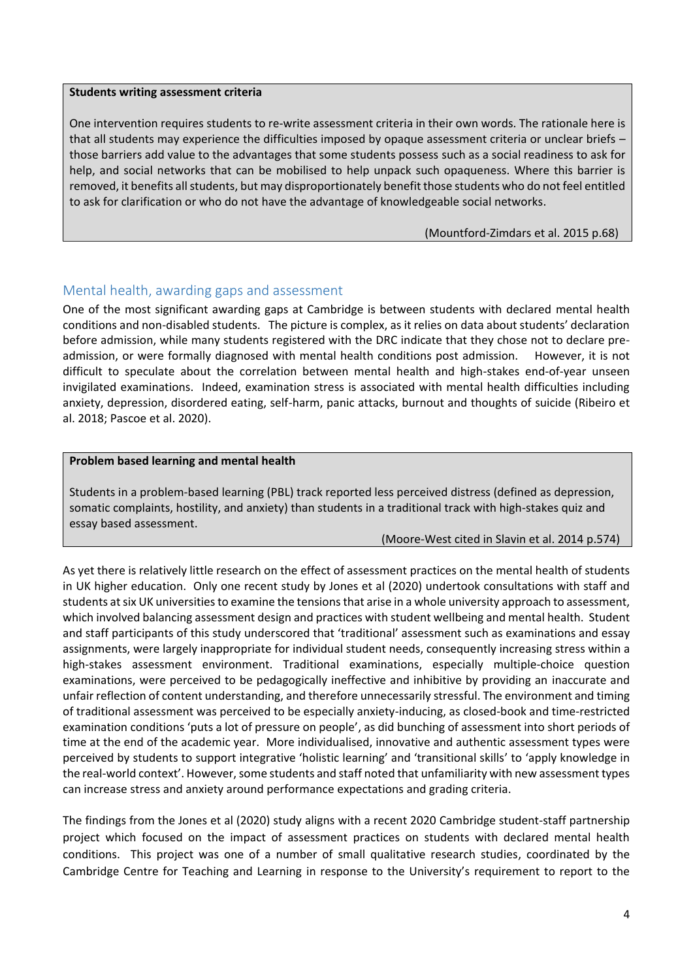#### **Students writing assessment criteria**

One intervention requires students to re-write assessment criteria in their own words. The rationale here is that all students may experience the difficulties imposed by opaque assessment criteria or unclear briefs – those barriers add value to the advantages that some students possess such as a social readiness to ask for help, and social networks that can be mobilised to help unpack such opaqueness. Where this barrier is removed, it benefits all students, but may disproportionately benefit those students who do not feel entitled to ask for clarification or who do not have the advantage of knowledgeable social networks.

(Mountford-Zimdars et al. 2015 p.68)

### Mental health, awarding gaps and assessment

One of the most significant awarding gaps at Cambridge is between students with declared mental health conditions and non-disabled students. The picture is complex, as it relies on data about students' declaration before admission, while many students registered with the DRC indicate that they chose not to declare preadmission, or were formally diagnosed with mental health conditions post admission. However, it is not difficult to speculate about the correlation between mental health and high-stakes end-of-year unseen invigilated examinations. Indeed, examination stress is associated with mental health difficulties including anxiety, depression, disordered eating, self-harm, panic attacks, burnout and thoughts of suicide (Ribeiro et al. 2018; Pascoe et al. 2020).

#### **Problem based learning and mental health**

Students in a problem-based learning (PBL) track reported less perceived distress (defined as depression, somatic complaints, hostility, and anxiety) than students in a traditional track with high-stakes quiz and essay based assessment.

(Moore-West cited in Slavin et al. 2014 p.574)

As yet there is relatively little research on the effect of assessment practices on the mental health of students in UK higher education. Only one recent study by Jones et al (2020) undertook consultations with staff and students at six UK universities to examine the tensions that arise in a whole university approach to assessment, which involved balancing assessment design and practices with student wellbeing and mental health. Student and staff participants of this study underscored that 'traditional' assessment such as examinations and essay assignments, were largely inappropriate for individual student needs, consequently increasing stress within a high-stakes assessment environment. Traditional examinations, especially multiple-choice question examinations, were perceived to be pedagogically ineffective and inhibitive by providing an inaccurate and unfair reflection of content understanding, and therefore unnecessarily stressful. The environment and timing of traditional assessment was perceived to be especially anxiety-inducing, as closed-book and time-restricted examination conditions 'puts a lot of pressure on people', as did bunching of assessment into short periods of time at the end of the academic year. More individualised, innovative and authentic assessment types were perceived by students to support integrative 'holistic learning' and 'transitional skills' to 'apply knowledge in the real-world context'. However, some students and staff noted that unfamiliarity with new assessment types can increase stress and anxiety around performance expectations and grading criteria.

The findings from the Jones et al (2020) study aligns with a recent 2020 Cambridge student-staff partnership project which focused on the impact of assessment practices on students with declared mental health conditions. This project was one of a number of small qualitative research studies, coordinated by the Cambridge Centre for Teaching and Learning in response to the University's requirement to report to the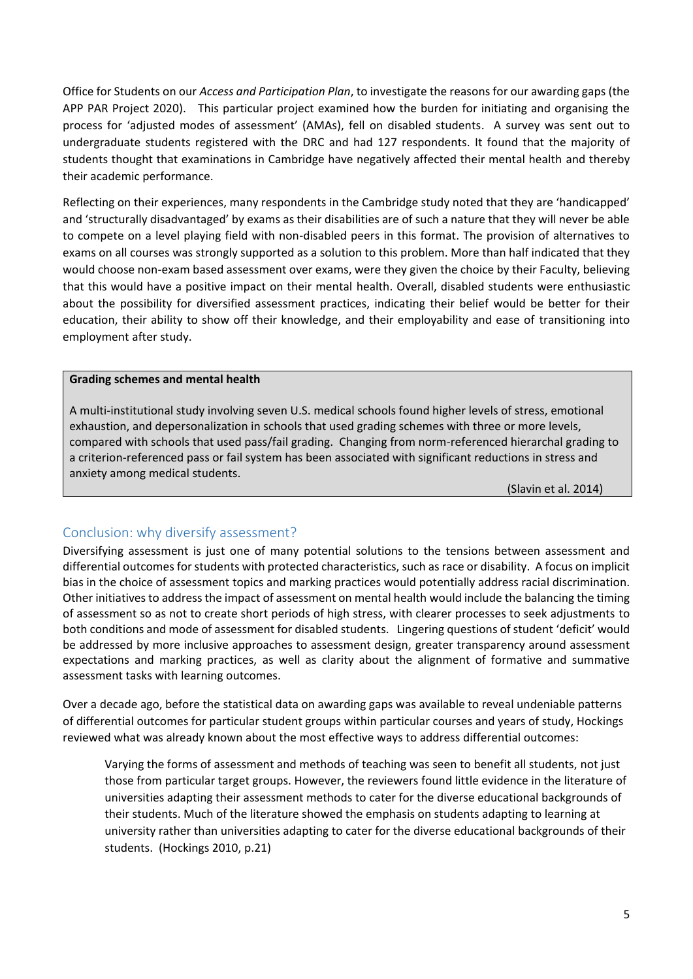Office for Students on our *Access and Participation Plan*, to investigate the reasons for our awarding gaps (the APP PAR Project 2020). This particular project examined how the burden for initiating and organising the process for 'adjusted modes of assessment' (AMAs), fell on disabled students. A survey was sent out to undergraduate students registered with the DRC and had 127 respondents. It found that the majority of students thought that examinations in Cambridge have negatively affected their mental health and thereby their academic performance.

Reflecting on their experiences, many respondents in the Cambridge study noted that they are 'handicapped' and 'structurally disadvantaged' by exams as their disabilities are of such a nature that they will never be able to compete on a level playing field with non-disabled peers in this format. The provision of alternatives to exams on all courses was strongly supported as a solution to this problem. More than half indicated that they would choose non-exam based assessment over exams, were they given the choice by their Faculty, believing that this would have a positive impact on their mental health. Overall, disabled students were enthusiastic about the possibility for diversified assessment practices, indicating their belief would be better for their education, their ability to show off their knowledge, and their employability and ease of transitioning into employment after study.

#### **Grading schemes and mental health**

A multi-institutional study involving seven U.S. medical schools found higher levels of stress, emotional exhaustion, and depersonalization in schools that used grading schemes with three or more levels, compared with schools that used pass/fail grading. Changing from norm-referenced hierarchal grading to a criterion-referenced pass or fail system has been associated with significant reductions in stress and anxiety among medical students.

(Slavin et al. 2014)

### Conclusion: why diversify assessment?

Diversifying assessment is just one of many potential solutions to the tensions between assessment and differential outcomes for students with protected characteristics, such as race or disability. A focus on implicit bias in the choice of assessment topics and marking practices would potentially address racial discrimination. Other initiatives to address the impact of assessment on mental health would include the balancing the timing of assessment so as not to create short periods of high stress, with clearer processes to seek adjustments to both conditions and mode of assessment for disabled students. Lingering questions of student 'deficit' would be addressed by more inclusive approaches to assessment design, greater transparency around assessment expectations and marking practices, as well as clarity about the alignment of formative and summative assessment tasks with learning outcomes.

Over a decade ago, before the statistical data on awarding gaps was available to reveal undeniable patterns of differential outcomes for particular student groups within particular courses and years of study, Hockings reviewed what was already known about the most effective ways to address differential outcomes:

Varying the forms of assessment and methods of teaching was seen to benefit all students, not just those from particular target groups. However, the reviewers found little evidence in the literature of universities adapting their assessment methods to cater for the diverse educational backgrounds of their students. Much of the literature showed the emphasis on students adapting to learning at university rather than universities adapting to cater for the diverse educational backgrounds of their students. (Hockings 2010, p.21)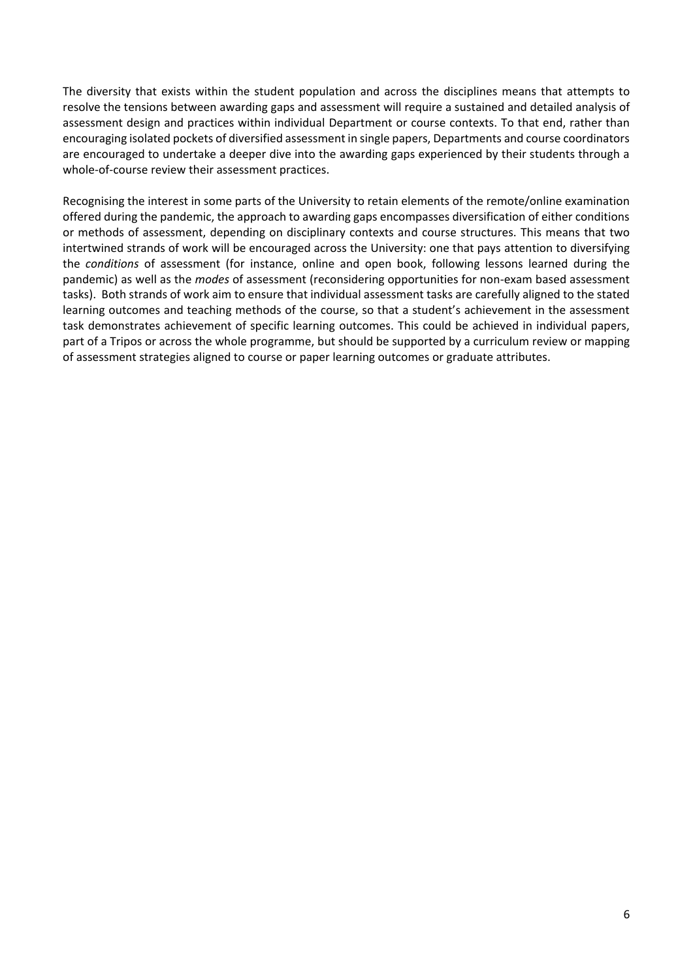The diversity that exists within the student population and across the disciplines means that attempts to resolve the tensions between awarding gaps and assessment will require a sustained and detailed analysis of assessment design and practices within individual Department or course contexts. To that end, rather than encouraging isolated pockets of diversified assessment in single papers, Departments and course coordinators are encouraged to undertake a deeper dive into the awarding gaps experienced by their students through a whole-of-course review their assessment practices.

Recognising the interest in some parts of the University to retain elements of the remote/online examination offered during the pandemic, the approach to awarding gaps encompasses diversification of either conditions or methods of assessment, depending on disciplinary contexts and course structures. This means that two intertwined strands of work will be encouraged across the University: one that pays attention to diversifying the *conditions* of assessment (for instance, online and open book, following lessons learned during the pandemic) as well as the *modes* of assessment (reconsidering opportunities for non-exam based assessment tasks). Both strands of work aim to ensure that individual assessment tasks are carefully aligned to the stated learning outcomes and teaching methods of the course, so that a student's achievement in the assessment task demonstrates achievement of specific learning outcomes. This could be achieved in individual papers, part of a Tripos or across the whole programme, but should be supported by a curriculum review or mapping of assessment strategies aligned to course or paper learning outcomes or graduate attributes.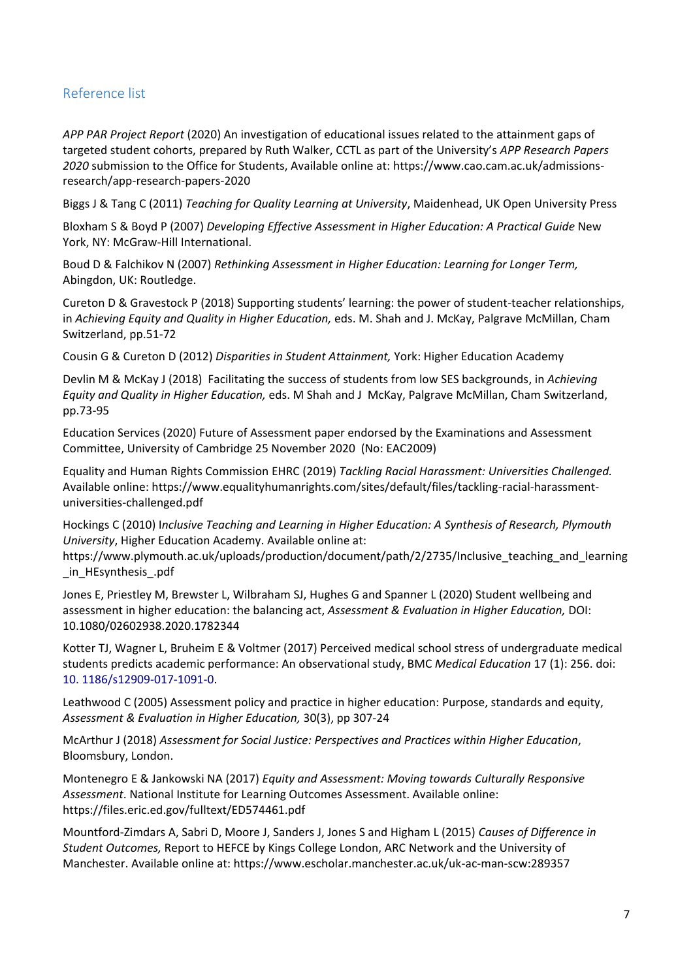## Reference list

*APP PAR Project Report* (2020) An investigation of educational issues related to the attainment gaps of targeted student cohorts, prepared by Ruth Walker, CCTL as part of the University's *APP Research Papers 2020* submission to the Office for Students, Available online at: https://www.cao.cam.ac.uk/admissionsresearch/app-research-papers-2020

Biggs J & Tang C (2011) *Teaching for Quality Learning at University*, Maidenhead, UK Open University Press

Bloxham S & Boyd P (2007) *Developing Effective Assessment in Higher Education: A Practical Guide* New York, NY: McGraw-Hill International.

Boud D & Falchikov N (2007) *Rethinking Assessment in Higher Education: Learning for Longer Term,* Abingdon, UK: Routledge.

Cureton D & Gravestock P (2018) Supporting students' learning: the power of student-teacher relationships, in *Achieving Equity and Quality in Higher Education,* eds. M. Shah and J. McKay, Palgrave McMillan, Cham Switzerland, pp.51-72

Cousin G & Cureton D (2012) *Disparities in Student Attainment,* York: Higher Education Academy

Devlin M & McKay J (2018) Facilitating the success of students from low SES backgrounds, in *Achieving Equity and Quality in Higher Education,* eds. M Shah and J McKay, Palgrave McMillan, Cham Switzerland, pp.73-95

Education Services (2020) Future of Assessment paper endorsed by the Examinations and Assessment Committee, University of Cambridge 25 November 2020 (No: EAC2009)

Equality and Human Rights Commission EHRC (2019) *Tackling Racial Harassment: Universities Challenged.* Available online: https://www.equalityhumanrights.com/sites/default/files/tackling-racial-harassmentuniversities-challenged.pdf

Hockings C (2010) I*nclusive Teaching and Learning in Higher Education: A Synthesis of Research, Plymouth University*, Higher Education Academy. Available online at:

https://www.plymouth.ac.uk/uploads/production/document/path/2/2735/Inclusive\_teaching\_and\_learning \_in\_HEsynthesis\_.pdf

Jones E, Priestley M, Brewster L, Wilbraham SJ, Hughes G and Spanner L (2020) Student wellbeing and assessment in higher education: the balancing act, *Assessment & Evaluation in Higher Education,* DOI: 10.1080/02602938.2020.1782344

Kotter TJ, Wagner L, Bruheim E & Voltmer (2017) Perceived medical school stress of undergraduate medical students predicts academic performance: An observational study, BMC *Medical Education* 17 (1): 256. doi: 10. 1186/s12909-017-1091-0.

Leathwood C (2005) Assessment policy and practice in higher education: Purpose, standards and equity, *Assessment & Evaluation in Higher Education,* 30(3), pp 307-24

McArthur J (2018) *Assessment for Social Justice: Perspectives and Practices within Higher Education*, Bloomsbury, London.

Montenegro E & Jankowski NA (2017) *Equity and Assessment: Moving towards Culturally Responsive Assessment*. National Institute for Learning Outcomes Assessment. Available online: https://files.eric.ed.gov/fulltext/ED574461.pdf

Mountford-Zimdars A, Sabri D, Moore J, Sanders J, Jones S and Higham L (2015) *Causes of Difference in Student Outcomes,* Report to HEFCE by Kings College London, ARC Network and the University of Manchester. Available online at: https://www.escholar.manchester.ac.uk/uk-ac-man-scw:289357